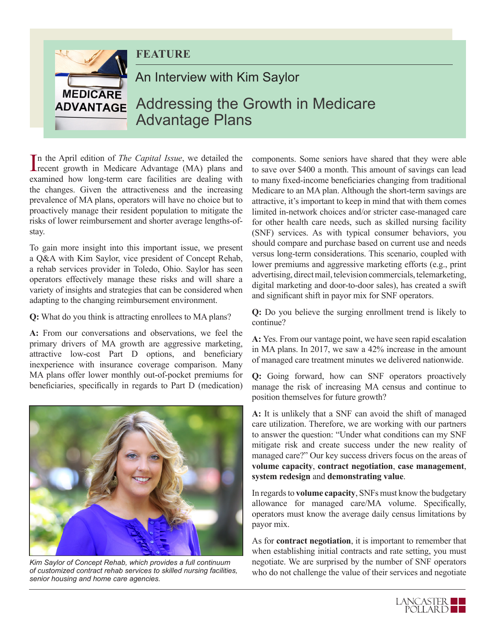

In the April edition of *The Capital Issue*, we detailed the recent growth in Medicare Advantage (MA) plans and recent growth in Medicare Advantage (MA) plans and examined how long-term care facilities are dealing with the changes. Given the attractiveness and the increasing prevalence of MA plans, operators will have no choice but to proactively manage their resident population to mitigate the risks of lower reimbursement and shorter average lengths-ofstay.

To gain more insight into this important issue, we present a Q&A with Kim Saylor, vice president of Concept Rehab, a rehab services provider in Toledo, Ohio. Saylor has seen operators effectively manage these risks and will share a variety of insights and strategies that can be considered when adapting to the changing reimbursement environment.

**Q:** What do you think is attracting enrollees to MA plans?

**A:** From our conversations and observations, we feel the primary drivers of MA growth are aggressive marketing, attractive low-cost Part D options, and beneficiary inexperience with insurance coverage comparison. Many MA plans offer lower monthly out-of-pocket premiums for beneficiaries, specifically in regards to Part D (medication)



*Kim Saylor of Concept Rehab, which provides a full continuum of customized contract rehab services to skilled nursing facilities, senior housing and home care agencies.*

components. Some seniors have shared that they were able to save over \$400 a month. This amount of savings can lead to many fixed-income beneficiaries changing from traditional Medicare to an MA plan. Although the short-term savings are attractive, it's important to keep in mind that with them comes limited in-network choices and/or stricter case-managed care for other health care needs, such as skilled nursing facility (SNF) services. As with typical consumer behaviors, you should compare and purchase based on current use and needs versus long-term considerations. This scenario, coupled with lower premiums and aggressive marketing efforts (e.g., print advertising, direct mail, television commercials, telemarketing, digital marketing and door-to-door sales), has created a swift and significant shift in payor mix for SNF operators.

**Q:** Do you believe the surging enrollment trend is likely to continue?

**A:** Yes. From our vantage point, we have seen rapid escalation in MA plans. In 2017, we saw a 42% increase in the amount of managed care treatment minutes we delivered nationwide.

**Q:** Going forward, how can SNF operators proactively manage the risk of increasing MA census and continue to position themselves for future growth?

**A:** It is unlikely that a SNF can avoid the shift of managed care utilization. Therefore, we are working with our partners to answer the question: "Under what conditions can my SNF mitigate risk and create success under the new reality of managed care?" Our key success drivers focus on the areas of **volume capacity**, **contract negotiation**, **case management**, **system redesign** and **demonstrating value**.

In regards to **volume capacity**, SNFs must know the budgetary allowance for managed care/MA volume. Specifically, operators must know the average daily census limitations by payor mix.

As for **contract negotiation**, it is important to remember that when establishing initial contracts and rate setting, you must negotiate. We are surprised by the number of SNF operators who do not challenge the value of their services and negotiate